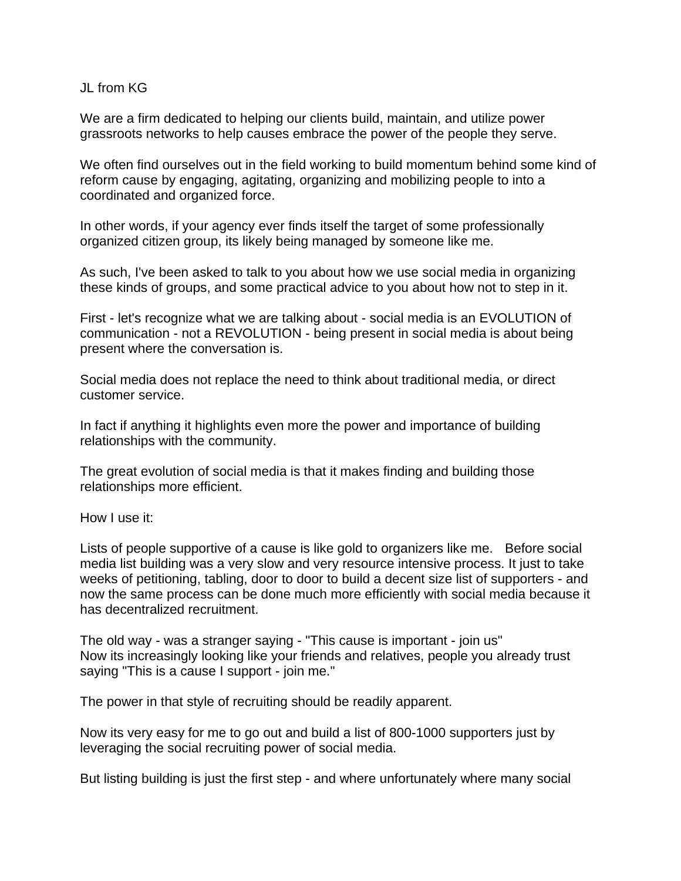## JL from KG

We are a firm dedicated to helping our clients build, maintain, and utilize power grassroots networks to help causes embrace the power of the people they serve.

We often find ourselves out in the field working to build momentum behind some kind of reform cause by engaging, agitating, organizing and mobilizing people to into a coordinated and organized force.

In other words, if your agency ever finds itself the target of some professionally organized citizen group, its likely being managed by someone like me.

As such, I've been asked to talk to you about how we use social media in organizing these kinds of groups, and some practical advice to you about how not to step in it.

First - let's recognize what we are talking about - social media is an EVOLUTION of communication - not a REVOLUTION - being present in social media is about being present where the conversation is.

Social media does not replace the need to think about traditional media, or direct customer service.

In fact if anything it highlights even more the power and importance of building relationships with the community.

The great evolution of social media is that it makes finding and building those relationships more efficient.

How I use it:

Lists of people supportive of a cause is like gold to organizers like me. Before social media list building was a very slow and very resource intensive process. It just to take weeks of petitioning, tabling, door to door to build a decent size list of supporters - and now the same process can be done much more efficiently with social media because it has decentralized recruitment.

The old way - was a stranger saying - "This cause is important - join us" Now its increasingly looking like your friends and relatives, people you already trust saying "This is a cause I support - join me."

The power in that style of recruiting should be readily apparent.

Now its very easy for me to go out and build a list of 800-1000 supporters just by leveraging the social recruiting power of social media.

But listing building is just the first step - and where unfortunately where many social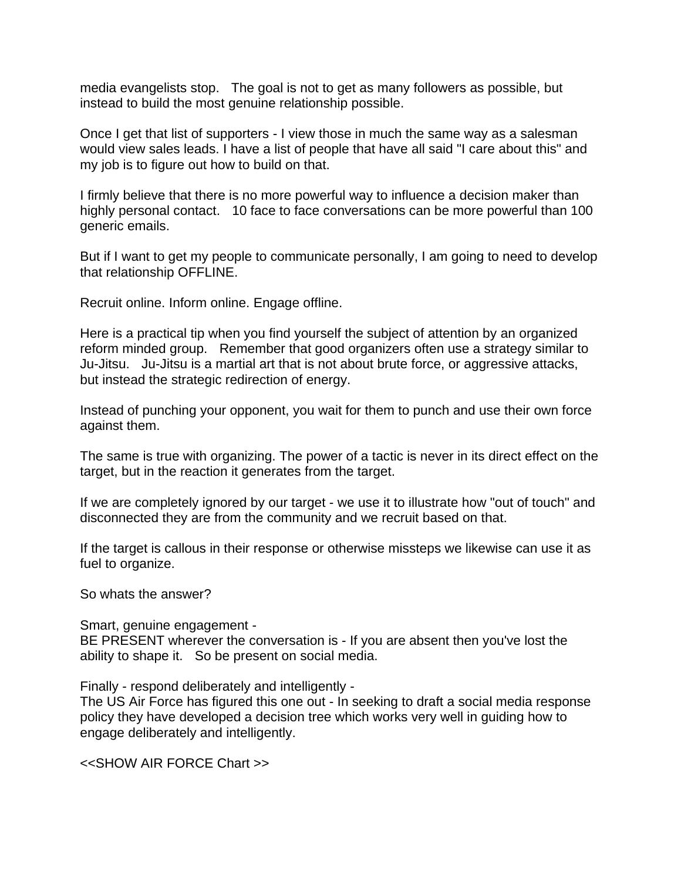media evangelists stop. The goal is not to get as many followers as possible, but instead to build the most genuine relationship possible.

Once I get that list of supporters - I view those in much the same way as a salesman would view sales leads. I have a list of people that have all said "I care about this" and my job is to figure out how to build on that.

I firmly believe that there is no more powerful way to influence a decision maker than highly personal contact. 10 face to face conversations can be more powerful than 100 generic emails.

But if I want to get my people to communicate personally, I am going to need to develop that relationship OFFLINE.

Recruit online. Inform online. Engage offline.

Here is a practical tip when you find yourself the subject of attention by an organized reform minded group. Remember that good organizers often use a strategy similar to Ju-Jitsu. Ju-Jitsu is a martial art that is not about brute force, or aggressive attacks, but instead the strategic redirection of energy.

Instead of punching your opponent, you wait for them to punch and use their own force against them.

The same is true with organizing. The power of a tactic is never in its direct effect on the target, but in the reaction it generates from the target.

If we are completely ignored by our target - we use it to illustrate how "out of touch" and disconnected they are from the community and we recruit based on that.

If the target is callous in their response or otherwise missteps we likewise can use it as fuel to organize.

So whats the answer?

Smart, genuine engagement -

BE PRESENT wherever the conversation is - If you are absent then you've lost the ability to shape it. So be present on social media.

Finally - respond deliberately and intelligently -

The US Air Force has figured this one out - In seeking to draft a social media response policy they have developed a decision tree which works very well in guiding how to engage deliberately and intelligently.

<<SHOW AIR FORCE Chart >>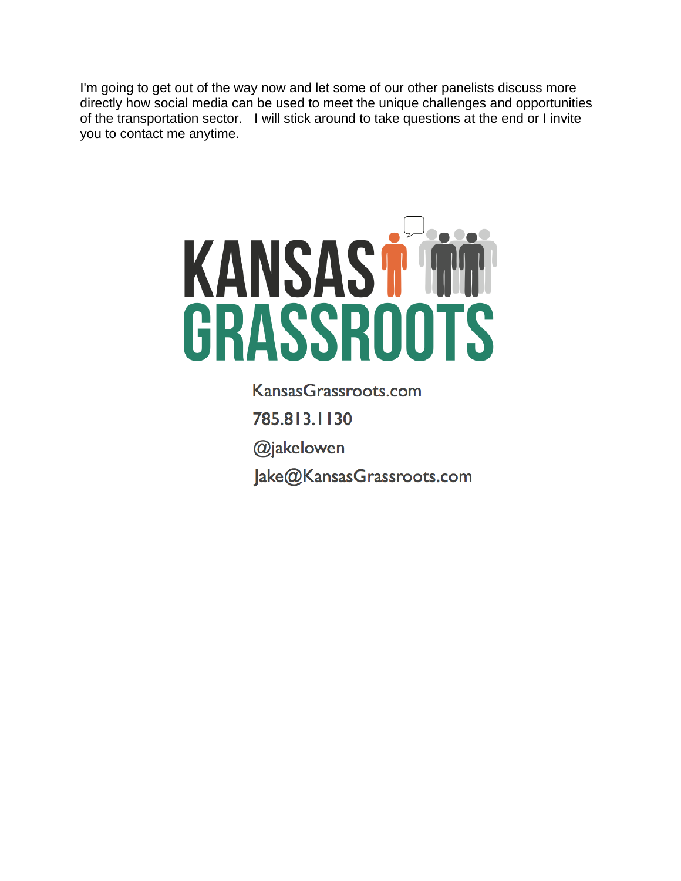I'm going to get out of the way now and let some of our other panelists discuss more directly how social media can be used to meet the unique challenges and opportunities of the transportation sector. I will stick around to take questions at the end or I invite you to contact me anytime.



Kansas Grassroots.com 785.813.1130 @jakelowen Jake@KansasGrassroots.com